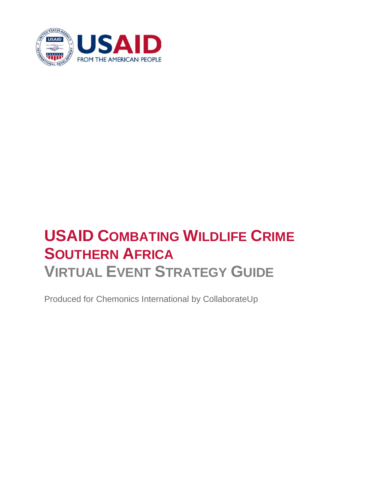

# **USAID COMBATING WILDLIFE CRIME SOUTHERN AFRICA VIRTUAL EVENT STRATEGY GUIDE**

Produced for Chemonics International by CollaborateUp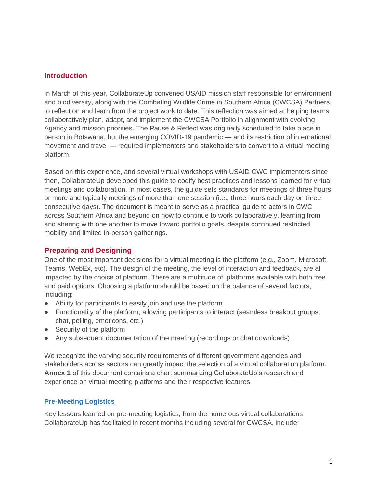### **Introduction**

In March of this year, CollaborateUp convened USAID mission staff responsible for environment and biodiversity, along with the Combating Wildlife Crime in Southern Africa (CWCSA) Partners, to reflect on and learn from the project work to date. This reflection was aimed at helping teams collaboratively plan, adapt, and implement the CWCSA Portfolio in alignment with evolving Agency and mission priorities. The Pause & Reflect was originally scheduled to take place in person in Botswana, but the emerging COVID-19 pandemic — and its restriction of international movement and travel — required implementers and stakeholders to convert to a virtual meeting platform.

Based on this experience, and several virtual workshops with USAID CWC implementers since then, CollaborateUp developed this guide to codify best practices and lessons learned for virtual meetings and collaboration. In most cases, the guide sets standards for meetings of three hours or more and typically meetings of more than one session (i.e., three hours each day on three consecutive days). The document is meant to serve as a practical guide to actors in CWC across Southern Africa and beyond on how to continue to work collaboratively, learning from and sharing with one another to move toward portfolio goals, despite continued restricted mobility and limited in-person gatherings.

### **Preparing and Designing**

One of the most important decisions for a virtual meeting is the platform (e.g., Zoom, Microsoft Teams, WebEx, etc). The design of the meeting, the level of interaction and feedback, are all impacted by the choice of platform. There are a multitude of platforms available with both free and paid options. Choosing a platform should be based on the balance of several factors, including:

- Ability for participants to easily join and use the platform
- Functionality of the platform, allowing participants to interact (seamless breakout groups, chat, polling, emoticons, etc.)
- Security of the platform
- Any subsequent documentation of the meeting (recordings or chat downloads)

We recognize the varying security requirements of different government agencies and stakeholders across sectors can greatly impact the selection of a virtual collaboration platform. **Annex 1** of this document contains a chart summarizing CollaborateUp's research and experience on virtual meeting platforms and their respective features.

### **Pre-Meeting Logistics**

Key lessons learned on pre-meeting logistics, from the numerous virtual collaborations CollaborateUp has facilitated in recent months including several for CWCSA, include: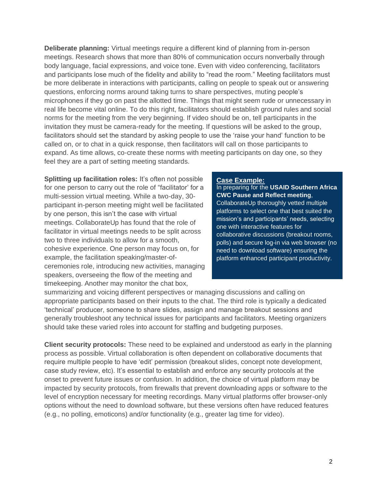**Deliberate planning:** Virtual meetings require a different kind of planning from in-person meetings. Research shows that more than 80% of communication occurs nonverbally through body language, facial expressions, and voice tone. Even with video conferencing, facilitators and participants lose much of the fidelity and ability to "read the room." Meeting facilitators must be more deliberate in interactions with participants, calling on people to speak out or answering questions, enforcing norms around taking turns to share perspectives, muting people's microphones if they go on past the allotted time. Things that might seem rude or unnecessary in real life become vital online. To do this right, facilitators should establish ground rules and social norms for the meeting from the very beginning. If video should be on, tell participants in the invitation they must be camera-ready for the meeting. If questions will be asked to the group, facilitators should set the standard by asking people to use the 'raise your hand' function to be called on, or to chat in a quick response, then facilitators will call on those participants to expand. As time allows, co-create these norms with meeting participants on day one, so they feel they are a part of setting meeting standards.

**Splitting up facilitation roles:** It's often not possible for one person to carry out the role of "facilitator' for a multi-session virtual meeting. While a two-day, 30 participant in-person meeting might well be facilitated by one person, this isn't the case with virtual meetings. CollaborateUp has found that the role of facilitator in virtual meetings needs to be split across two to three individuals to allow for a smooth, cohesive experience. One person may focus on, for example, the facilitation speaking/master-ofceremonies role, introducing new activities, managing speakers, overseeing the flow of the meeting and timekeeping. Another may monitor the chat box,

#### **Case Example:**

In preparing for the **USAID Southern Africa CWC Pause and Reflect meeting**, CollaborateUp thoroughly vetted multiple platforms to select one that best suited the mission's and participants' needs, selecting one with interactive features for collaborative discussions (breakout rooms, polls) and secure log-in via web browser (no need to download software) ensuring the platform enhanced participant productivity.

summarizing and voicing different perspectives or managing discussions and calling on appropriate participants based on their inputs to the chat. The third role is typically a dedicated 'technical' producer, someone to share slides, assign and manage breakout sessions and generally troubleshoot any technical issues for participants and facilitators. Meeting organizers should take these varied roles into account for staffing and budgeting purposes.

**Client security protocols:** These need to be explained and understood as early in the planning process as possible. Virtual collaboration is often dependent on collaborative documents that require multiple people to have 'edit' permission (breakout slides, concept note development, case study review, etc). It's essential to establish and enforce any security protocols at the onset to prevent future issues or confusion. In addition, the choice of virtual platform may be impacted by security protocols, from firewalls that prevent downloading apps or software to the level of encryption necessary for meeting recordings. Many virtual platforms offer browser-only options without the need to download software, but these versions often have reduced features (e.g., no polling, emoticons) and/or functionality (e.g., greater lag time for video).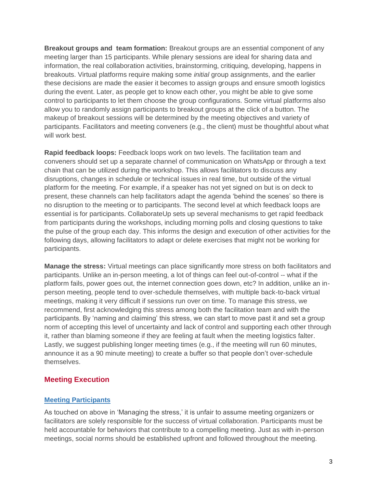**Breakout groups and team formation:** Breakout groups are an essential component of any meeting larger than 15 participants. While plenary sessions are ideal for sharing data and information, the real collaboration activities, brainstorming, critiquing, developing, happens in breakouts. Virtual platforms require making some *initial* group assignments, and the earlier these decisions are made the easier it becomes to assign groups and ensure smooth logistics during the event. Later, as people get to know each other, you might be able to give some control to participants to let them choose the group configurations. Some virtual platforms also allow you to randomly assign participants to breakout groups at the click of a button. The makeup of breakout sessions will be determined by the meeting objectives and variety of participants. Facilitators and meeting conveners (e.g., the client) must be thoughtful about what will work best.

**Rapid feedback loops:** Feedback loops work on two levels. The facilitation team and conveners should set up a separate channel of communication on WhatsApp or through a text chain that can be utilized during the workshop. This allows facilitators to discuss any disruptions, changes in schedule or technical issues in real time, but outside of the virtual platform for the meeting. For example, if a speaker has not yet signed on but is on deck to present, these channels can help facilitators adapt the agenda 'behind the scenes' so there is no disruption to the meeting or to participants. The second level at which feedback loops are essential is for participants. CollaborateUp sets up several mechanisms to get rapid feedback from participants during the workshops, including morning polls and closing questions to take the pulse of the group each day. This informs the design and execution of other activities for the following days, allowing facilitators to adapt or delete exercises that might not be working for participants.

**Manage the stress:** Virtual meetings can place significantly more stress on both facilitators and participants. Unlike an in-person meeting, a lot of things can feel out-of-control -- what if the platform fails, power goes out, the internet connection goes down, etc? In addition, unlike an inperson meeting, people tend to over-schedule themselves, with multiple back-to-back virtual meetings, making it very difficult if sessions run over on time. To manage this stress, we recommend, first acknowledging this stress among both the facilitation team and with the participants. By 'naming and claiming' this stress, we can start to move past it and set a group norm of accepting this level of uncertainty and lack of control and supporting each other through it, rather than blaming someone if they are feeling at fault when the meeting logistics falter. Lastly, we suggest publishing longer meeting times (e.g., if the meeting will run 60 minutes, announce it as a 90 minute meeting) to create a buffer so that people don't over-schedule themselves.

### **Meeting Execution**

#### **Meeting Participants**

As touched on above in 'Managing the stress,' it is unfair to assume meeting organizers or facilitators are solely responsible for the success of virtual collaboration. Participants must be held accountable for behaviors that contribute to a compelling meeting. Just as with in-person meetings, social norms should be established upfront and followed throughout the meeting.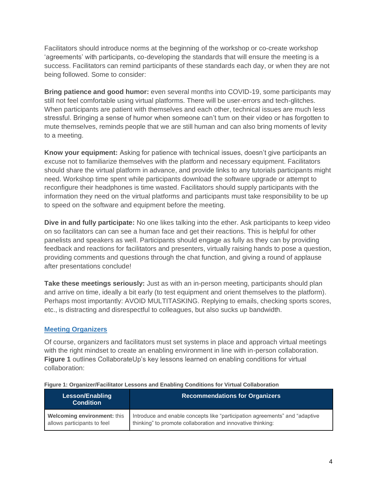Facilitators should introduce norms at the beginning of the workshop or co-create workshop 'agreements' with participants, co-developing the standards that will ensure the meeting is a success. Facilitators can remind participants of these standards each day, or when they are not being followed. Some to consider:

**Bring patience and good humor:** even several months into COVID-19, some participants may still not feel comfortable using virtual platforms. There will be user-errors and tech-glitches. When participants are patient with themselves and each other, technical issues are much less stressful. Bringing a sense of humor when someone can't turn on their video or has forgotten to mute themselves, reminds people that we are still human and can also bring moments of levity to a meeting.

**Know your equipment:** Asking for patience with technical issues, doesn't give participants an excuse not to familiarize themselves with the platform and necessary equipment. Facilitators should share the virtual platform in advance, and provide links to any tutorials participants might need. Workshop time spent while participants download the software upgrade or attempt to reconfigure their headphones is time wasted. Facilitators should supply participants with the information they need on the virtual platforms and participants must take responsibility to be up to speed on the software and equipment before the meeting.

**Dive in and fully participate:** No one likes talking into the ether. Ask participants to keep video on so facilitators can can see a human face and get their reactions. This is helpful for other panelists and speakers as well. Participants should engage as fully as they can by providing feedback and reactions for facilitators and presenters, virtually raising hands to pose a question, providing comments and questions through the chat function, and giving a round of applause after presentations conclude!

**Take these meetings seriously:** Just as with an in-person meeting, participants should plan and arrive on time, ideally a bit early (to test equipment and orient themselves to the platform). Perhaps most importantly: AVOID MULTITASKING. Replying to emails, checking sports scores, etc., is distracting and disrespectful to colleagues, but also sucks up bandwidth.

#### **Meeting Organizers**

Of course, organizers and facilitators must set systems in place and approach virtual meetings with the right mindset to create an enabling environment in line with in-person collaboration. **Figure 1** outlines CollaborateUp's key lessons learned on enabling conditions for virtual collaboration:

| <b>Lesson/Enabling</b><br><b>Condition</b> | <b>Recommendations for Organizers</b>                                       |  |  |
|--------------------------------------------|-----------------------------------------------------------------------------|--|--|
| Welcoming environment: this                | Introduce and enable concepts like "participation agreements" and "adaptive |  |  |
| allows participants to feel                | thinking" to promote collaboration and innovative thinking:                 |  |  |

#### **Figure 1: Organizer/Facilitator Lessons and Enabling Conditions for Virtual Collaboration**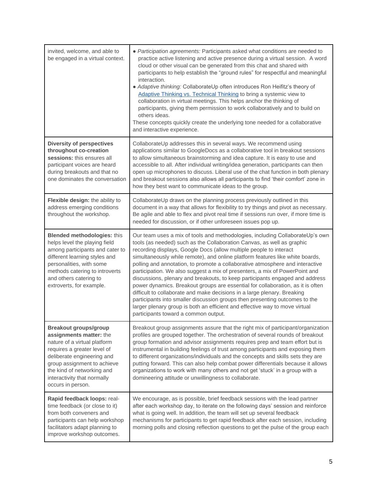| invited, welcome, and able to<br>be engaged in a virtual context.                                                                                                                                                                                                     | • Participation agreements: Participants asked what conditions are needed to<br>practice active listening and active presence during a virtual session. A word<br>cloud or other visual can be generated from this chat and shared with<br>participants to help establish the "ground rules" for respectful and meaningful<br>interaction.<br>• Adaptive thinking: CollaborateUp often introduces Ron Heifitz's theory of<br>Adaptive Thinking vs. Technical Thinking to bring a systemic view to<br>collaboration in virtual meetings. This helps anchor the thinking of<br>participants, giving them permission to work collaboratively and to build on<br>others ideas.<br>These concepts quickly create the underlying tone needed for a collaborative<br>and interactive experience.                                                                                                                                           |
|-----------------------------------------------------------------------------------------------------------------------------------------------------------------------------------------------------------------------------------------------------------------------|-------------------------------------------------------------------------------------------------------------------------------------------------------------------------------------------------------------------------------------------------------------------------------------------------------------------------------------------------------------------------------------------------------------------------------------------------------------------------------------------------------------------------------------------------------------------------------------------------------------------------------------------------------------------------------------------------------------------------------------------------------------------------------------------------------------------------------------------------------------------------------------------------------------------------------------|
| <b>Diversity of perspectives</b><br>throughout co-creation<br>sessions: this ensures all<br>participant voices are heard<br>during breakouts and that no<br>one dominates the conversation                                                                            | CollaborateUp addresses this in several ways. We recommend using<br>applications similar to GoogleDocs as a collaborative tool in breakout sessions<br>to allow simultaneous brainstorming and idea capture. It is easy to use and<br>accessible to all. After individual writing/idea generation, participants can then<br>open up microphones to discuss. Liberal use of the chat function in both plenary<br>and breakout sessions also allows all participants to find 'their comfort' zone in<br>how they best want to communicate ideas to the group.                                                                                                                                                                                                                                                                                                                                                                         |
| Flexible design: the ability to<br>address emerging conditions<br>throughout the workshop.                                                                                                                                                                            | CollaborateUp draws on the planning process previously outlined in this<br>document in a way that allows for flexibility to try things and pivot as necessary.<br>Be agile and able to flex and pivot real time if sessions run over, if more time is<br>needed for discussion, or if other unforeseen issues pop up.                                                                                                                                                                                                                                                                                                                                                                                                                                                                                                                                                                                                               |
| <b>Blended methodologies: this</b><br>helps level the playing field<br>among participants and cater to<br>different learning styles and<br>personalities, with some<br>methods catering to introverts<br>and others catering to<br>extroverts, for example.           | Our team uses a mix of tools and methodologies, including CollaborateUp's own<br>tools (as needed) such as the Collaboration Canvas, as well as graphic<br>recording displays, Google Docs (allow multiple people to interact<br>simultaneously while remote), and online platform features like white boards,<br>polling and annotation, to promote a collaborative atmosphere and interactive<br>participation. We also suggest a mix of presenters, a mix of PowerPoint and<br>discussions, plenary and breakouts, to keep participants engaged and address<br>power dynamics. Breakout groups are essential for collaboration, as it is often<br>difficult to collaborate and make decisions in a large plenary. Breaking<br>participants into smaller discussion groups then presenting outcomes to the<br>larger plenary group is both an efficient and effective way to move virtual<br>participants toward a common output. |
| <b>Breakout groups/group</b><br>assignments matter: the<br>nature of a virtual platform<br>requires a greater level of<br>deliberate engineering and<br>group assignment to achieve<br>the kind of networking and<br>interactivity that normally<br>occurs in person. | Breakout group assignments assure that the right mix of participant/organization<br>profiles are grouped together. The orchestration of several rounds of breakout<br>group formation and advisor assignments requires prep and team effort but is<br>instrumental in building feelings of trust among participants and exposing them<br>to different organizations/individuals and the concepts and skills sets they are<br>putting forward. This can also help combat power differentials because it allows<br>organizations to work with many others and not get 'stuck' in a group with a<br>domineering attitude or unwillingness to collaborate.                                                                                                                                                                                                                                                                              |
| Rapid feedback loops: real-<br>time feedback (or close to it)<br>from both conveners and<br>participants can help workshop<br>facilitators adapt planning to<br>improve workshop outcomes.                                                                            | We encourage, as is possible, brief feedback sessions with the lead partner<br>after each workshop day, to iterate on the following days' session and reinforce<br>what is going well. In addition, the team will set up several feedback<br>mechanisms for participants to get rapid feedback after each session, including<br>morning polls and closing reflection questions to get the pulse of the group each                                                                                                                                                                                                                                                                                                                                                                                                                                                                                                                   |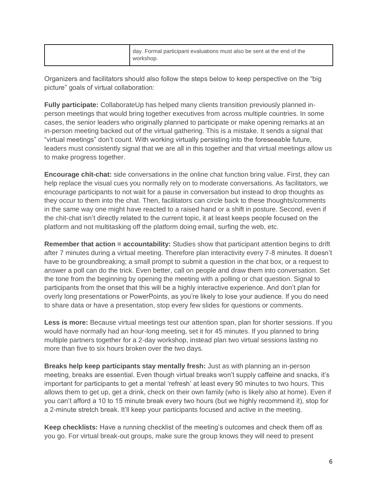| day. Formal participant evaluations must also be sent at the end of the<br>workshop. |  |
|--------------------------------------------------------------------------------------|--|
|--------------------------------------------------------------------------------------|--|

Organizers and facilitators should also follow the steps below to keep perspective on the "big picture" goals of virtual collaboration:

**Fully participate:** CollaborateUp has helped many clients transition previously planned inperson meetings that would bring together executives from across multiple countries. In some cases, the senior leaders who originally planned to participate or make opening remarks at an in-person meeting backed out of the virtual gathering. This is a mistake. It sends a signal that "virtual meetings" don't count. With working virtually persisting into the foreseeable future, leaders must consistently signal that we are all in this together and that virtual meetings allow us to make progress together.

**Encourage chit-chat:** side conversations in the online chat function bring value. First, they can help replace the visual cues you normally rely on to moderate conversations. As facilitators, we encourage participants to not wait for a pause in conversation but instead to drop thoughts as they occur to them into the chat. Then, facilitators can circle back to these thoughts/comments in the same way one might have reacted to a raised hand or a shift in posture. Second, even if the chit-chat isn't directly related to the current topic, it at least keeps people focused on the platform and not multitasking off the platform doing email, surfing the web, etc.

**Remember that action = accountability:** Studies show that participant attention begins to drift after 7 minutes during a virtual meeting. Therefore plan interactivity every 7-8 minutes. It doesn't have to be groundbreaking; a small prompt to submit a question in the chat box, or a request to answer a poll can do the trick. Even better, call on people and draw them into conversation. Set the tone from the beginning by opening the meeting with a polling or chat question. Signal to participants from the onset that this will be a highly interactive experience. And don't plan for overly long presentations or PowerPoints, as you're likely to lose your audience. If you do need to share data or have a presentation, stop every few slides for questions or comments.

**Less is more:** Because virtual meetings test our attention span, plan for shorter sessions. If you would have normally had an hour-long meeting, set it for 45 minutes. If you planned to bring multiple partners together for a 2-day workshop, instead plan two virtual sessions lasting no more than five to six hours broken over the two days.

**Breaks help keep participants stay mentally fresh:** Just as with planning an in-person meeting, breaks are essential. Even though virtual breaks won't supply caffeine and snacks, it's important for participants to get a mental 'refresh' at least every 90 minutes to two hours. This allows them to get up, get a drink, check on their own family (who is likely also at home). Even if you can't afford a 10 to 15 minute break every two hours (but we highly recommend it), stop for a 2-minute stretch break. It'll keep your participants focused and active in the meeting.

**Keep checklists:** Have a running checklist of the meeting's outcomes and check them off as you go. For virtual break-out groups, make sure the group knows they will need to present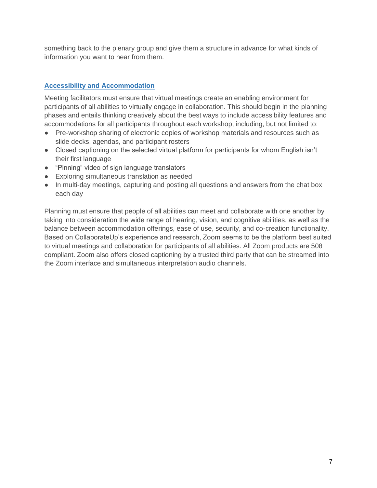something back to the plenary group and give them a structure in advance for what kinds of information you want to hear from them.

## **Accessibility and Accommodation**

Meeting facilitators must ensure that virtual meetings create an enabling environment for participants of all abilities to virtually engage in collaboration. This should begin in the planning phases and entails thinking creatively about the best ways to include accessibility features and accommodations for all participants throughout each workshop, including, but not limited to:

- Pre-workshop sharing of electronic copies of workshop materials and resources such as slide decks, agendas, and participant rosters
- Closed captioning on the selected virtual platform for participants for whom English isn't their first language
- "Pinning" video of sign language translators
- Exploring simultaneous translation as needed
- In multi-day meetings, capturing and posting all questions and answers from the chat box each day

Planning must ensure that people of all abilities can meet and collaborate with one another by taking into consideration the wide range of hearing, vision, and cognitive abilities, as well as the balance between accommodation offerings, ease of use, security, and co-creation functionality. Based on CollaborateUp's experience and research, Zoom seems to be the platform best suited to virtual meetings and collaboration for participants of all abilities. All Zoom products are 508 compliant. Zoom also offers closed captioning by a trusted third party that can be streamed into the Zoom interface and simultaneous interpretation audio channels.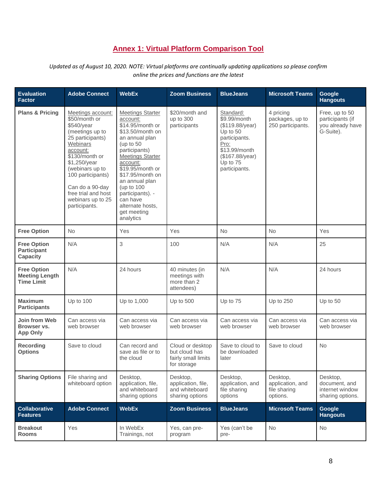# **Annex 1: Virtual Platform Comparison Tool**

*Updated as of August 10, 2020. NOTE: Virtual platforms are continually updating applications so please confirm online the prices and functions are the latest*

| <b>Evaluation</b><br><b>Factor</b>                               | <b>Adobe Connect</b>                                                                                                                                                                                                                                                      | <b>WebEx</b>                                                                                                                                                                                                                                                                                                                 | <b>Zoom Business</b>                                                    | <b>BlueJeans</b>                                                                                                                                   | <b>Microsoft Teams</b>                                   | Google<br><b>Hangouts</b>                                           |
|------------------------------------------------------------------|---------------------------------------------------------------------------------------------------------------------------------------------------------------------------------------------------------------------------------------------------------------------------|------------------------------------------------------------------------------------------------------------------------------------------------------------------------------------------------------------------------------------------------------------------------------------------------------------------------------|-------------------------------------------------------------------------|----------------------------------------------------------------------------------------------------------------------------------------------------|----------------------------------------------------------|---------------------------------------------------------------------|
| <b>Plans &amp; Pricing</b>                                       | Meetings account:<br>\$50/month or<br>\$540/year<br>(meetings up to<br>25 participants)<br>Webinars<br>account:<br>\$130/month or<br>\$1,250/year<br>(webinars up to<br>100 participants)<br>Can do a 90-day<br>free trial and host<br>webinars up to 25<br>participants. | <b>Meetings Starter</b><br>account:<br>\$14.95/month or<br>\$13.50/month on<br>an annual plan<br>(up to $50$<br>participants)<br><b>Meetings Starter</b><br>account:<br>\$19.95/month or<br>\$17.95/month on<br>an annual plan<br>(up to 100<br>participants). -<br>can have<br>alternate hosts.<br>get meeting<br>analytics | \$20/month and<br>up to 300<br>participants                             | Standard:<br>\$9.99/month<br>(\$119.88/year)<br>Up to 50<br>participants.<br>Pro:<br>\$13.99/month<br>(\$167.88/year)<br>Up to 75<br>participants. | 4 pricing<br>packages, up to<br>250 participants.        | Free, up to 50<br>participants (if<br>you already have<br>G-Suite). |
| <b>Free Option</b>                                               | <b>No</b>                                                                                                                                                                                                                                                                 | Yes                                                                                                                                                                                                                                                                                                                          | Yes                                                                     | No                                                                                                                                                 | <b>No</b>                                                | Yes                                                                 |
| <b>Free Option</b><br><b>Participant</b><br><b>Capacity</b>      | N/A                                                                                                                                                                                                                                                                       | 3                                                                                                                                                                                                                                                                                                                            | 100                                                                     | N/A                                                                                                                                                | N/A                                                      | 25                                                                  |
| <b>Free Option</b><br><b>Meeting Length</b><br><b>Time Limit</b> | N/A                                                                                                                                                                                                                                                                       | 24 hours                                                                                                                                                                                                                                                                                                                     | 40 minutes (in<br>meetings with<br>more than 2<br>attendees)            | N/A                                                                                                                                                | N/A                                                      | 24 hours                                                            |
| <b>Maximum</b><br><b>Participants</b>                            | Up to 100                                                                                                                                                                                                                                                                 | Up to 1,000                                                                                                                                                                                                                                                                                                                  | Up to 500                                                               | Up to 75                                                                                                                                           | Up to 250                                                | Up to 50                                                            |
| Join from Web<br>Browser vs.<br><b>App Only</b>                  | Can access via<br>web browser                                                                                                                                                                                                                                             | Can access via<br>web browser                                                                                                                                                                                                                                                                                                | Can access via<br>web browser                                           | Can access via<br>web browser                                                                                                                      | Can access via<br>web browser                            | Can access via<br>web browser                                       |
| <b>Recording</b><br><b>Options</b>                               | Save to cloud                                                                                                                                                                                                                                                             | Can record and<br>save as file or to<br>the cloud                                                                                                                                                                                                                                                                            | Cloud or desktop<br>but cloud has<br>fairly small limits<br>for storage | Save to cloud to<br>be downloaded<br>later                                                                                                         | Save to cloud                                            | <b>No</b>                                                           |
| <b>Sharing Options</b>                                           | File sharing and<br>whiteboard option                                                                                                                                                                                                                                     | Desktop,<br>application, file,<br>and whiteboard<br>sharing options                                                                                                                                                                                                                                                          | Desktop,<br>application, file,<br>and whiteboard<br>sharing options     | Desktop,<br>application, and<br>file sharing<br>options                                                                                            | Desktop,<br>application, and<br>file sharing<br>options. | Desktop,<br>document, and<br>internet window<br>sharing options.    |
| <b>Collaborative</b><br><b>Features</b>                          | <b>Adobe Connect</b>                                                                                                                                                                                                                                                      | <b>WebEx</b>                                                                                                                                                                                                                                                                                                                 | <b>Zoom Business</b>                                                    | <b>BlueJeans</b>                                                                                                                                   | <b>Microsoft Teams</b>                                   | Google<br><b>Hangouts</b>                                           |
| <b>Breakout</b><br><b>Rooms</b>                                  | Yes                                                                                                                                                                                                                                                                       | In WebEx<br>Trainings, not                                                                                                                                                                                                                                                                                                   | Yes, can pre-<br>program                                                | Yes (can't be<br>pre-                                                                                                                              | No                                                       | No                                                                  |